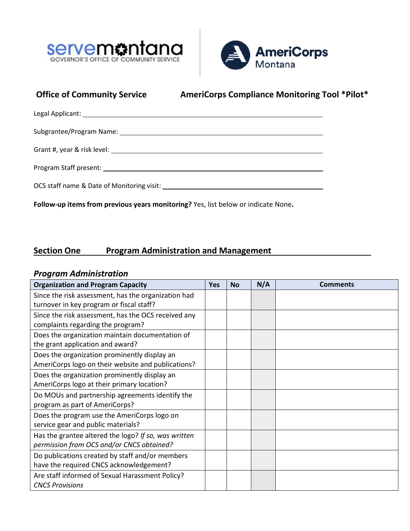



# **Office of Community Service AmeriCorps Compliance Monitoring Tool \*Pilot\***

| Grant #, year & risk level: The same state of the state of the state of the state of the state of the state of |
|----------------------------------------------------------------------------------------------------------------|
|                                                                                                                |
|                                                                                                                |

**Follow-up items from previous years monitoring?** Yes, list below or indicate None**.** 

## **Section One Program Administration and Management**

### *Program Administration*

| <b>Organization and Program Capacity</b>             | <b>Yes</b> | <b>No</b> | N/A | <b>Comments</b> |
|------------------------------------------------------|------------|-----------|-----|-----------------|
| Since the risk assessment, has the organization had  |            |           |     |                 |
| turnover in key program or fiscal staff?             |            |           |     |                 |
| Since the risk assessment, has the OCS received any  |            |           |     |                 |
| complaints regarding the program?                    |            |           |     |                 |
| Does the organization maintain documentation of      |            |           |     |                 |
| the grant application and award?                     |            |           |     |                 |
| Does the organization prominently display an         |            |           |     |                 |
| AmeriCorps logo on their website and publications?   |            |           |     |                 |
| Does the organization prominently display an         |            |           |     |                 |
| AmeriCorps logo at their primary location?           |            |           |     |                 |
| Do MOUs and partnership agreements identify the      |            |           |     |                 |
| program as part of AmeriCorps?                       |            |           |     |                 |
| Does the program use the AmeriCorps logo on          |            |           |     |                 |
| service gear and public materials?                   |            |           |     |                 |
| Has the grantee altered the logo? If so, was written |            |           |     |                 |
| permission from OCS and/or CNCS obtained?            |            |           |     |                 |
| Do publications created by staff and/or members      |            |           |     |                 |
| have the required CNCS acknowledgement?              |            |           |     |                 |
| Are staff informed of Sexual Harassment Policy?      |            |           |     |                 |
| <b>CNCS Provisions</b>                               |            |           |     |                 |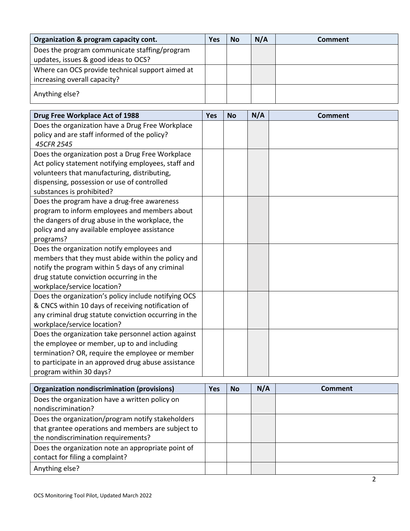| Organization & program capacity cont.            | Yes | <b>No</b> | N/A | Comment |
|--------------------------------------------------|-----|-----------|-----|---------|
| Does the program communicate staffing/program    |     |           |     |         |
| updates, issues & good ideas to OCS?             |     |           |     |         |
| Where can OCS provide technical support aimed at |     |           |     |         |
| increasing overall capacity?                     |     |           |     |         |
| Anything else?                                   |     |           |     |         |

| Drug Free Workplace Act of 1988                       | Yes | <b>No</b> | N/A | <b>Comment</b> |
|-------------------------------------------------------|-----|-----------|-----|----------------|
| Does the organization have a Drug Free Workplace      |     |           |     |                |
| policy and are staff informed of the policy?          |     |           |     |                |
| 45CFR 2545                                            |     |           |     |                |
| Does the organization post a Drug Free Workplace      |     |           |     |                |
| Act policy statement notifying employees, staff and   |     |           |     |                |
| volunteers that manufacturing, distributing,          |     |           |     |                |
| dispensing, possession or use of controlled           |     |           |     |                |
| substances is prohibited?                             |     |           |     |                |
| Does the program have a drug-free awareness           |     |           |     |                |
| program to inform employees and members about         |     |           |     |                |
| the dangers of drug abuse in the workplace, the       |     |           |     |                |
| policy and any available employee assistance          |     |           |     |                |
| programs?                                             |     |           |     |                |
| Does the organization notify employees and            |     |           |     |                |
| members that they must abide within the policy and    |     |           |     |                |
| notify the program within 5 days of any criminal      |     |           |     |                |
| drug statute conviction occurring in the              |     |           |     |                |
| workplace/service location?                           |     |           |     |                |
| Does the organization's policy include notifying OCS  |     |           |     |                |
| & CNCS within 10 days of receiving notification of    |     |           |     |                |
| any criminal drug statute conviction occurring in the |     |           |     |                |
| workplace/service location?                           |     |           |     |                |
| Does the organization take personnel action against   |     |           |     |                |
| the employee or member, up to and including           |     |           |     |                |
| termination? OR, require the employee or member       |     |           |     |                |
| to participate in an approved drug abuse assistance   |     |           |     |                |
| program within 30 days?                               |     |           |     |                |

| <b>Organization nondiscrimination (provisions)</b> | Yes | <b>No</b> | N/A | Comment |
|----------------------------------------------------|-----|-----------|-----|---------|
| Does the organization have a written policy on     |     |           |     |         |
| nondiscrimination?                                 |     |           |     |         |
| Does the organization/program notify stakeholders  |     |           |     |         |
| that grantee operations and members are subject to |     |           |     |         |
| the nondiscrimination requirements?                |     |           |     |         |
| Does the organization note an appropriate point of |     |           |     |         |
| contact for filing a complaint?                    |     |           |     |         |
| Anything else?                                     |     |           |     |         |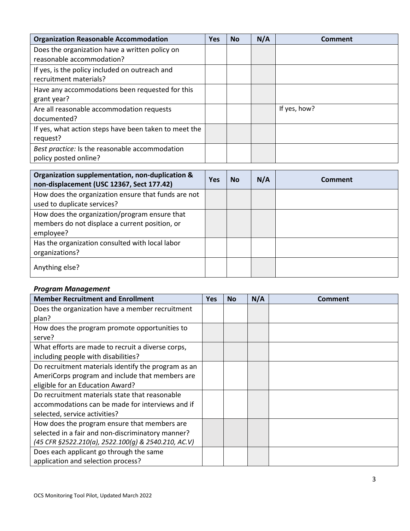| <b>Organization Reasonable Accommodation</b>          | Yes | <b>No</b> | N/A | Comment      |
|-------------------------------------------------------|-----|-----------|-----|--------------|
| Does the organization have a written policy on        |     |           |     |              |
| reasonable accommodation?                             |     |           |     |              |
| If yes, is the policy included on outreach and        |     |           |     |              |
| recruitment materials?                                |     |           |     |              |
| Have any accommodations been requested for this       |     |           |     |              |
| grant year?                                           |     |           |     |              |
| Are all reasonable accommodation requests             |     |           |     | If yes, how? |
| documented?                                           |     |           |     |              |
| If yes, what action steps have been taken to meet the |     |           |     |              |
| request?                                              |     |           |     |              |
| Best practice: Is the reasonable accommodation        |     |           |     |              |
| policy posted online?                                 |     |           |     |              |

| Organization supplementation, non-duplication &<br>non-displacement (USC 12367, Sect 177.42)                 | <b>Yes</b> | <b>No</b> | N/A | Comment |
|--------------------------------------------------------------------------------------------------------------|------------|-----------|-----|---------|
| How does the organization ensure that funds are not<br>used to duplicate services?                           |            |           |     |         |
| How does the organization/program ensure that<br>members do not displace a current position, or<br>employee? |            |           |     |         |
| Has the organization consulted with local labor<br>organizations?                                            |            |           |     |         |
| Anything else?                                                                                               |            |           |     |         |

### *Program Management*

| <b>Member Recruitment and Enrollment</b>            | <b>Yes</b> | <b>No</b> | N/A | <b>Comment</b> |
|-----------------------------------------------------|------------|-----------|-----|----------------|
| Does the organization have a member recruitment     |            |           |     |                |
| plan?                                               |            |           |     |                |
| How does the program promote opportunities to       |            |           |     |                |
| serve?                                              |            |           |     |                |
| What efforts are made to recruit a diverse corps,   |            |           |     |                |
| including people with disabilities?                 |            |           |     |                |
| Do recruitment materials identify the program as an |            |           |     |                |
| AmeriCorps program and include that members are     |            |           |     |                |
| eligible for an Education Award?                    |            |           |     |                |
| Do recruitment materials state that reasonable      |            |           |     |                |
| accommodations can be made for interviews and if    |            |           |     |                |
| selected, service activities?                       |            |           |     |                |
| How does the program ensure that members are        |            |           |     |                |
| selected in a fair and non-discriminatory manner?   |            |           |     |                |
| (45 CFR §2522.210(a), 2522.100(g) & 2540.210, AC.V) |            |           |     |                |
| Does each applicant go through the same             |            |           |     |                |
| application and selection process?                  |            |           |     |                |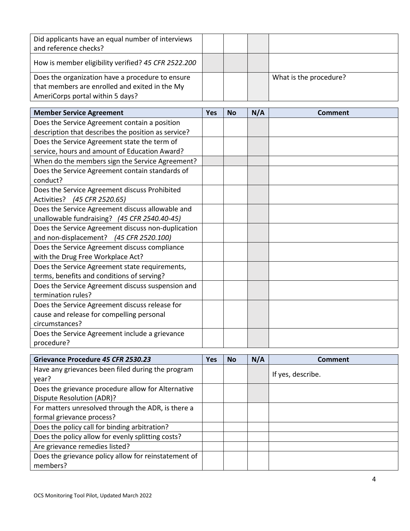| Did applicants have an equal number of interviews<br>and reference checks?                         |  |                        |
|----------------------------------------------------------------------------------------------------|--|------------------------|
| How is member eligibility verified? 45 CFR 2522.200                                                |  |                        |
| Does the organization have a procedure to ensure<br>that members are enrolled and exited in the My |  | What is the procedure? |
| AmeriCorps portal within 5 days?                                                                   |  |                        |

| <b>Member Service Agreement</b>                             | <b>Yes</b> | <b>No</b> | N/A | Comment |
|-------------------------------------------------------------|------------|-----------|-----|---------|
| Does the Service Agreement contain a position               |            |           |     |         |
| description that describes the position as service?         |            |           |     |         |
| Does the Service Agreement state the term of                |            |           |     |         |
| service, hours and amount of Education Award?               |            |           |     |         |
| When do the members sign the Service Agreement?             |            |           |     |         |
| Does the Service Agreement contain standards of<br>conduct? |            |           |     |         |
| Does the Service Agreement discuss Prohibited               |            |           |     |         |
| Activities? (45 CFR 2520.65)                                |            |           |     |         |
| Does the Service Agreement discuss allowable and            |            |           |     |         |
| unallowable fundraising? (45 CFR 2540.40-45)                |            |           |     |         |
| Does the Service Agreement discuss non-duplication          |            |           |     |         |
| and non-displacement? (45 CFR 2520.100)                     |            |           |     |         |
| Does the Service Agreement discuss compliance               |            |           |     |         |
| with the Drug Free Workplace Act?                           |            |           |     |         |
| Does the Service Agreement state requirements,              |            |           |     |         |
| terms, benefits and conditions of serving?                  |            |           |     |         |
| Does the Service Agreement discuss suspension and           |            |           |     |         |
| termination rules?                                          |            |           |     |         |
| Does the Service Agreement discuss release for              |            |           |     |         |
| cause and release for compelling personal                   |            |           |     |         |
| circumstances?                                              |            |           |     |         |
| Does the Service Agreement include a grievance              |            |           |     |         |
| procedure?                                                  |            |           |     |         |

| Grievance Procedure 45 CFR 2530.23                   | Yes | <b>No</b> | N/A | Comment           |
|------------------------------------------------------|-----|-----------|-----|-------------------|
| Have any grievances been filed during the program    |     |           |     | If yes, describe. |
| year?                                                |     |           |     |                   |
| Does the grievance procedure allow for Alternative   |     |           |     |                   |
| Dispute Resolution (ADR)?                            |     |           |     |                   |
| For matters unresolved through the ADR, is there a   |     |           |     |                   |
| formal grievance process?                            |     |           |     |                   |
| Does the policy call for binding arbitration?        |     |           |     |                   |
| Does the policy allow for evenly splitting costs?    |     |           |     |                   |
| Are grievance remedies listed?                       |     |           |     |                   |
| Does the grievance policy allow for reinstatement of |     |           |     |                   |
| members?                                             |     |           |     |                   |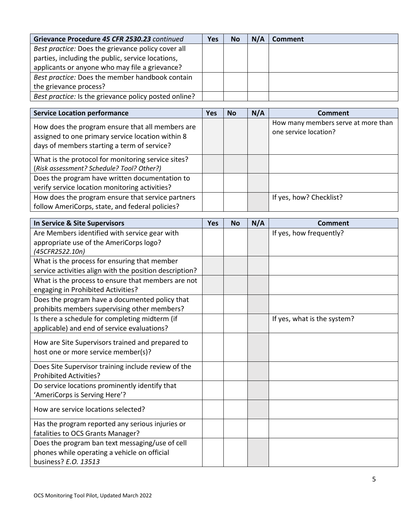| Grievance Procedure 45 CFR 2530.23 continued          | Yes | <b>No</b> | N/A | Comment |
|-------------------------------------------------------|-----|-----------|-----|---------|
| Best practice: Does the grievance policy cover all    |     |           |     |         |
| parties, including the public, service locations,     |     |           |     |         |
| applicants or anyone who may file a grievance?        |     |           |     |         |
| Best practice: Does the member handbook contain       |     |           |     |         |
| the grievance process?                                |     |           |     |         |
| Best practice: Is the grievance policy posted online? |     |           |     |         |

| <b>Service Location performance</b>                                                                                                                  | Yes | <b>No</b> | N/A | Comment                                                      |
|------------------------------------------------------------------------------------------------------------------------------------------------------|-----|-----------|-----|--------------------------------------------------------------|
| How does the program ensure that all members are<br>assigned to one primary service location within 8<br>days of members starting a term of service? |     |           |     | How many members serve at more than<br>one service location? |
| What is the protocol for monitoring service sites?<br>(Risk assessment? Schedule? Tool? Other?)                                                      |     |           |     |                                                              |
| Does the program have written documentation to<br>verify service location monitoring activities?                                                     |     |           |     |                                                              |
| How does the program ensure that service partners<br>follow AmeriCorps, state, and federal policies?                                                 |     |           |     | If yes, how? Checklist?                                      |

| In Service & Site Supervisors                           | <b>Yes</b> | <b>No</b> | N/A | <b>Comment</b>              |
|---------------------------------------------------------|------------|-----------|-----|-----------------------------|
| Are Members identified with service gear with           |            |           |     | If yes, how frequently?     |
| appropriate use of the AmeriCorps logo?                 |            |           |     |                             |
| (45CFR2522.10n)                                         |            |           |     |                             |
| What is the process for ensuring that member            |            |           |     |                             |
| service activities align with the position description? |            |           |     |                             |
| What is the process to ensure that members are not      |            |           |     |                             |
| engaging in Prohibited Activities?                      |            |           |     |                             |
| Does the program have a documented policy that          |            |           |     |                             |
| prohibits members supervising other members?            |            |           |     |                             |
| Is there a schedule for completing midterm (if          |            |           |     | If yes, what is the system? |
| applicable) and end of service evaluations?             |            |           |     |                             |
| How are Site Supervisors trained and prepared to        |            |           |     |                             |
| host one or more service member(s)?                     |            |           |     |                             |
|                                                         |            |           |     |                             |
| Does Site Supervisor training include review of the     |            |           |     |                             |
| <b>Prohibited Activities?</b>                           |            |           |     |                             |
| Do service locations prominently identify that          |            |           |     |                             |
| 'AmeriCorps is Serving Here'?                           |            |           |     |                             |
| How are service locations selected?                     |            |           |     |                             |
|                                                         |            |           |     |                             |
| Has the program reported any serious injuries or        |            |           |     |                             |
| fatalities to OCS Grants Manager?                       |            |           |     |                             |
| Does the program ban text messaging/use of cell         |            |           |     |                             |
| phones while operating a vehicle on official            |            |           |     |                             |
| business? E.O. 13513                                    |            |           |     |                             |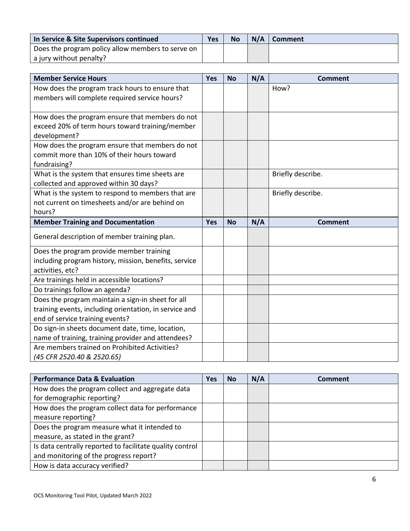| In Service & Site Supervisors continued           | Yes | <b>No</b> | $N/A$   Comment |
|---------------------------------------------------|-----|-----------|-----------------|
| Does the program policy allow members to serve on |     |           |                 |
| a jury without penalty?                           |     |           |                 |

| <b>Member Service Hours</b>                            | Yes        | <b>No</b> | N/A | <b>Comment</b>    |
|--------------------------------------------------------|------------|-----------|-----|-------------------|
| How does the program track hours to ensure that        |            |           |     | How?              |
| members will complete required service hours?          |            |           |     |                   |
|                                                        |            |           |     |                   |
| How does the program ensure that members do not        |            |           |     |                   |
| exceed 20% of term hours toward training/member        |            |           |     |                   |
| development?                                           |            |           |     |                   |
| How does the program ensure that members do not        |            |           |     |                   |
| commit more than 10% of their hours toward             |            |           |     |                   |
| fundraising?                                           |            |           |     |                   |
| What is the system that ensures time sheets are        |            |           |     | Briefly describe. |
| collected and approved within 30 days?                 |            |           |     |                   |
| What is the system to respond to members that are      |            |           |     | Briefly describe. |
| not current on timesheets and/or are behind on         |            |           |     |                   |
| hours?                                                 |            |           |     |                   |
|                                                        |            |           |     |                   |
| <b>Member Training and Documentation</b>               | <b>Yes</b> | <b>No</b> | N/A | <b>Comment</b>    |
| General description of member training plan.           |            |           |     |                   |
| Does the program provide member training               |            |           |     |                   |
| including program history, mission, benefits, service  |            |           |     |                   |
| activities, etc?                                       |            |           |     |                   |
| Are trainings held in accessible locations?            |            |           |     |                   |
| Do trainings follow an agenda?                         |            |           |     |                   |
| Does the program maintain a sign-in sheet for all      |            |           |     |                   |
| training events, including orientation, in service and |            |           |     |                   |
| end of service training events?                        |            |           |     |                   |
| Do sign-in sheets document date, time, location,       |            |           |     |                   |
| name of training, training provider and attendees?     |            |           |     |                   |
| Are members trained on Prohibited Activities?          |            |           |     |                   |

| <b>Performance Data &amp; Evaluation</b>                 | Yes | <b>No</b> | N/A | Comment |
|----------------------------------------------------------|-----|-----------|-----|---------|
| How does the program collect and aggregate data          |     |           |     |         |
| for demographic reporting?                               |     |           |     |         |
| How does the program collect data for performance        |     |           |     |         |
| measure reporting?                                       |     |           |     |         |
| Does the program measure what it intended to             |     |           |     |         |
| measure, as stated in the grant?                         |     |           |     |         |
| Is data centrally reported to facilitate quality control |     |           |     |         |
| and monitoring of the progress report?                   |     |           |     |         |
| How is data accuracy verified?                           |     |           |     |         |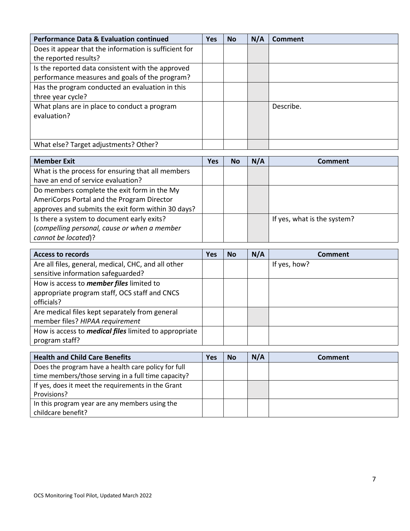| <b>Performance Data &amp; Evaluation continued</b>    | Yes | <b>No</b> | N/A | Comment   |
|-------------------------------------------------------|-----|-----------|-----|-----------|
| Does it appear that the information is sufficient for |     |           |     |           |
| the reported results?                                 |     |           |     |           |
| Is the reported data consistent with the approved     |     |           |     |           |
| performance measures and goals of the program?        |     |           |     |           |
| Has the program conducted an evaluation in this       |     |           |     |           |
| three year cycle?                                     |     |           |     |           |
| What plans are in place to conduct a program          |     |           |     | Describe. |
| evaluation?                                           |     |           |     |           |
|                                                       |     |           |     |           |
|                                                       |     |           |     |           |
| What else? Target adjustments? Other?                 |     |           |     |           |

| <b>Member Exit</b>                                 | Yes | <b>No</b> | N/A | Comment                     |
|----------------------------------------------------|-----|-----------|-----|-----------------------------|
| What is the process for ensuring that all members  |     |           |     |                             |
| have an end of service evaluation?                 |     |           |     |                             |
| Do members complete the exit form in the My        |     |           |     |                             |
| AmeriCorps Portal and the Program Director         |     |           |     |                             |
| approves and submits the exit form within 30 days? |     |           |     |                             |
| Is there a system to document early exits?         |     |           |     | If yes, what is the system? |
| (compelling personal, cause or when a member       |     |           |     |                             |
| cannot be located)?                                |     |           |     |                             |

| <b>Access to records</b>                                     | Yes | <b>No</b> | N/A | Comment      |
|--------------------------------------------------------------|-----|-----------|-----|--------------|
| Are all files, general, medical, CHC, and all other          |     |           |     | If yes, how? |
| sensitive information safeguarded?                           |     |           |     |              |
| How is access to <i>member files</i> limited to              |     |           |     |              |
| appropriate program staff, OCS staff and CNCS                |     |           |     |              |
| officials?                                                   |     |           |     |              |
| Are medical files kept separately from general               |     |           |     |              |
| member files? HIPAA requirement                              |     |           |     |              |
| How is access to <i>medical files</i> limited to appropriate |     |           |     |              |
| program staff?                                               |     |           |     |              |

| <b>Health and Child Care Benefits</b>               | Yes | No | N/A | Comment |
|-----------------------------------------------------|-----|----|-----|---------|
| Does the program have a health care policy for full |     |    |     |         |
| time members/those serving in a full time capacity? |     |    |     |         |
| If yes, does it meet the requirements in the Grant  |     |    |     |         |
| Provisions?                                         |     |    |     |         |
| In this program year are any members using the      |     |    |     |         |
| childcare benefit?                                  |     |    |     |         |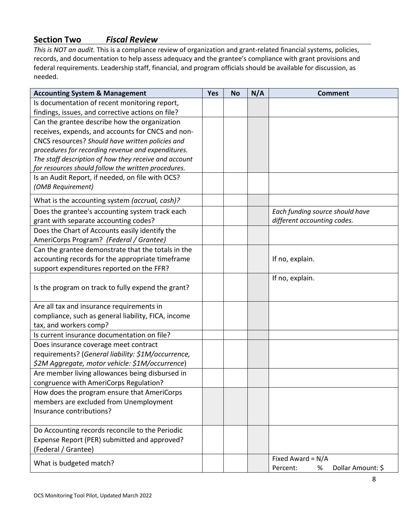# **Section Two** *Fiscal Review*

*This is NOT an audit.* This is a compliance review of organization and grant-related financial systems, policies, records, and documentation to help assess adequacy and the grantee's compliance with grant provisions and federal requirements. Leadership staff, financial, and program officials should be available for discussion, as needed.

| <b>Accounting System &amp; Management</b>             | <b>Yes</b> | <b>No</b> | N/A | <b>Comment</b>                     |
|-------------------------------------------------------|------------|-----------|-----|------------------------------------|
| Is documentation of recent monitoring report,         |            |           |     |                                    |
| findings, issues, and corrective actions on file?     |            |           |     |                                    |
| Can the grantee describe how the organization         |            |           |     |                                    |
| receives, expends, and accounts for CNCS and non-     |            |           |     |                                    |
| CNCS resources? Should have written policies and      |            |           |     |                                    |
| procedures for recording revenue and expenditures.    |            |           |     |                                    |
| The staff description of how they receive and account |            |           |     |                                    |
| for resources should follow the written procedures.   |            |           |     |                                    |
| Is an Audit Report, if needed, on file with OCS?      |            |           |     |                                    |
| (OMB Requirement)                                     |            |           |     |                                    |
| What is the accounting system (accrual, cash)?        |            |           |     |                                    |
| Does the grantee's accounting system track each       |            |           |     | Each funding source should have    |
| grant with separate accounting codes?                 |            |           |     | different accounting codes.        |
| Does the Chart of Accounts easily identify the        |            |           |     |                                    |
| AmeriCorps Program? (Federal / Grantee)               |            |           |     |                                    |
| Can the grantee demonstrate that the totals in the    |            |           |     |                                    |
| accounting records for the appropriate timeframe      |            |           |     | If no, explain.                    |
| support expenditures reported on the FFR?             |            |           |     |                                    |
| Is the program on track to fully expend the grant?    |            |           |     | If no, explain.                    |
| Are all tax and insurance requirements in             |            |           |     |                                    |
| compliance, such as general liability, FICA, income   |            |           |     |                                    |
| tax, and workers comp?                                |            |           |     |                                    |
| Is current insurance documentation on file?           |            |           |     |                                    |
| Does insurance coverage meet contract                 |            |           |     |                                    |
| requirements? (General liability: \$1M/occurrence,    |            |           |     |                                    |
| \$2M Aggregate, motor vehicle: \$1M/occurrence)       |            |           |     |                                    |
| Are member living allowances being disbursed in       |            |           |     |                                    |
| congruence with AmeriCorps Regulation?                |            |           |     |                                    |
| How does the program ensure that AmeriCorps           |            |           |     |                                    |
| members are excluded from Unemployment                |            |           |     |                                    |
| Insurance contributions?                              |            |           |     |                                    |
|                                                       |            |           |     |                                    |
| Do Accounting records reconcile to the Periodic       |            |           |     |                                    |
| Expense Report (PER) submitted and approved?          |            |           |     |                                    |
| (Federal / Grantee)                                   |            |           |     |                                    |
| What is budgeted match?                               |            |           |     | Fixed Award = $N/A$                |
|                                                       |            |           |     | Dollar Amount: \$<br>Percent:<br>% |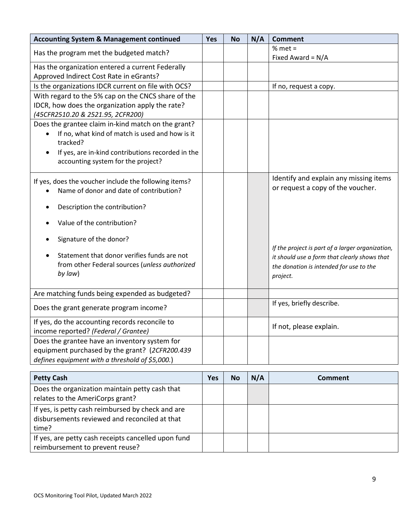| <b>Accounting System &amp; Management continued</b>                      | Yes | <b>No</b> | N/A | <b>Comment</b>                                   |
|--------------------------------------------------------------------------|-----|-----------|-----|--------------------------------------------------|
| Has the program met the budgeted match?                                  |     |           |     | % met $=$                                        |
| Has the organization entered a current Federally                         |     |           |     | Fixed Award = N/A                                |
| Approved Indirect Cost Rate in eGrants?                                  |     |           |     |                                                  |
| Is the organizations IDCR current on file with OCS?                      |     |           |     | If no, request a copy.                           |
| With regard to the 5% cap on the CNCS share of the                       |     |           |     |                                                  |
| IDCR, how does the organization apply the rate?                          |     |           |     |                                                  |
| (45CFR2510.20 & 2521.95, 2CFR200)                                        |     |           |     |                                                  |
| Does the grantee claim in-kind match on the grant?                       |     |           |     |                                                  |
| If no, what kind of match is used and how is it<br>$\bullet$<br>tracked? |     |           |     |                                                  |
| If yes, are in-kind contributions recorded in the<br>$\bullet$           |     |           |     |                                                  |
| accounting system for the project?                                       |     |           |     |                                                  |
|                                                                          |     |           |     |                                                  |
| If yes, does the voucher include the following items?                    |     |           |     | Identify and explain any missing items           |
| Name of donor and date of contribution?                                  |     |           |     | or request a copy of the voucher.                |
|                                                                          |     |           |     |                                                  |
| Description the contribution?                                            |     |           |     |                                                  |
| Value of the contribution?                                               |     |           |     |                                                  |
| Signature of the donor?                                                  |     |           |     |                                                  |
|                                                                          |     |           |     | If the project is part of a larger organization, |
| Statement that donor verifies funds are not                              |     |           |     | it should use a form that clearly shows that     |
| from other Federal sources (unless authorized                            |     |           |     | the donation is intended for use to the          |
| by law)                                                                  |     |           |     | project.                                         |
|                                                                          |     |           |     |                                                  |
| Are matching funds being expended as budgeted?                           |     |           |     |                                                  |
| Does the grant generate program income?                                  |     |           |     | If yes, briefly describe.                        |
| If yes, do the accounting records reconcile to                           |     |           |     |                                                  |
| income reported? (Federal / Grantee)                                     |     |           |     | If not, please explain.                          |
| Does the grantee have an inventory system for                            |     |           |     |                                                  |
| equipment purchased by the grant? (2CFR200.439                           |     |           |     |                                                  |
| defines equipment with a threshold of \$5,000.)                          |     |           |     |                                                  |
|                                                                          |     |           |     |                                                  |

| <b>Petty Cash</b>                                                                                           | Yes | <b>No</b> | N/A | Comment |
|-------------------------------------------------------------------------------------------------------------|-----|-----------|-----|---------|
| Does the organization maintain petty cash that<br>relates to the AmeriCorps grant?                          |     |           |     |         |
| If yes, is petty cash reimbursed by check and are<br>disbursements reviewed and reconciled at that<br>time? |     |           |     |         |
| If yes, are petty cash receipts cancelled upon fund<br>reimbursement to prevent reuse?                      |     |           |     |         |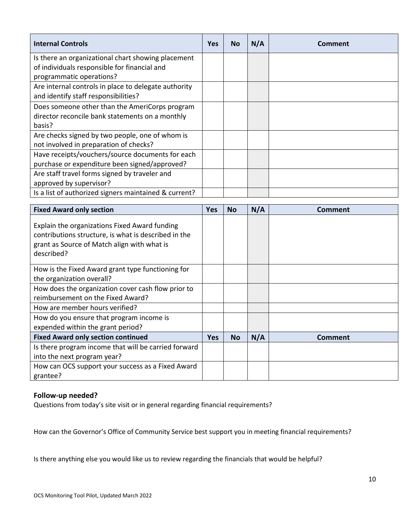| <b>Internal Controls</b>                              | <b>Yes</b> | <b>No</b> | N/A | Comment |
|-------------------------------------------------------|------------|-----------|-----|---------|
| Is there an organizational chart showing placement    |            |           |     |         |
| of individuals responsible for financial and          |            |           |     |         |
| programmatic operations?                              |            |           |     |         |
| Are internal controls in place to delegate authority  |            |           |     |         |
| and identify staff responsibilities?                  |            |           |     |         |
| Does someone other than the AmeriCorps program        |            |           |     |         |
| director reconcile bank statements on a monthly       |            |           |     |         |
| basis?                                                |            |           |     |         |
| Are checks signed by two people, one of whom is       |            |           |     |         |
| not involved in preparation of checks?                |            |           |     |         |
| Have receipts/vouchers/source documents for each      |            |           |     |         |
| purchase or expenditure been signed/approved?         |            |           |     |         |
| Are staff travel forms signed by traveler and         |            |           |     |         |
| approved by supervisor?                               |            |           |     |         |
| Is a list of authorized signers maintained & current? |            |           |     |         |

| <b>Fixed Award only section</b>                                                                                                                                    | <b>Yes</b> | <b>No</b> | N/A | Comment |
|--------------------------------------------------------------------------------------------------------------------------------------------------------------------|------------|-----------|-----|---------|
| Explain the organizations Fixed Award funding<br>contributions structure, is what is described in the<br>grant as Source of Match align with what is<br>described? |            |           |     |         |
| How is the Fixed Award grant type functioning for                                                                                                                  |            |           |     |         |
| the organization overall?                                                                                                                                          |            |           |     |         |
| How does the organization cover cash flow prior to                                                                                                                 |            |           |     |         |
| reimbursement on the Fixed Award?                                                                                                                                  |            |           |     |         |
| How are member hours verified?                                                                                                                                     |            |           |     |         |
| How do you ensure that program income is                                                                                                                           |            |           |     |         |
| expended within the grant period?                                                                                                                                  |            |           |     |         |
| <b>Fixed Award only section continued</b>                                                                                                                          | <b>Yes</b> | <b>No</b> | N/A | Comment |
| Is there program income that will be carried forward                                                                                                               |            |           |     |         |
| into the next program year?                                                                                                                                        |            |           |     |         |
| How can OCS support your success as a Fixed Award                                                                                                                  |            |           |     |         |
| grantee?                                                                                                                                                           |            |           |     |         |

#### **Follow-up needed?**

Questions from today's site visit or in general regarding financial requirements?

How can the Governor's Office of Community Service best support you in meeting financial requirements?

Is there anything else you would like us to review regarding the financials that would be helpful?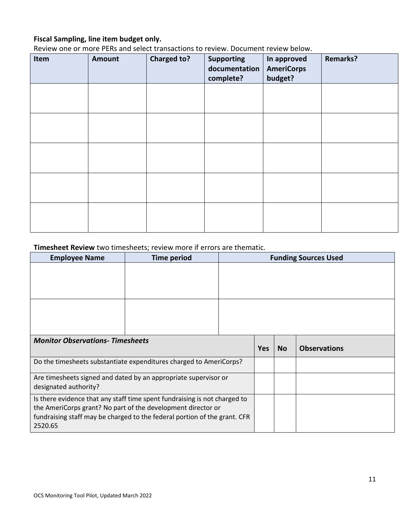# **Fiscal Sampling, line item budget only.**

Review one or more PERs and select transactions to review. Document review below.

| Item | <b>Amount</b> | <b>Charged to?</b> | <b>Supporting</b><br>documentation<br>complete? | In approved<br><b>AmeriCorps</b><br>budget? | <b>Remarks?</b> |
|------|---------------|--------------------|-------------------------------------------------|---------------------------------------------|-----------------|
|      |               |                    |                                                 |                                             |                 |
|      |               |                    |                                                 |                                             |                 |
|      |               |                    |                                                 |                                             |                 |
|      |               |                    |                                                 |                                             |                 |
|      |               |                    |                                                 |                                             |                 |

### **Timesheet Review** two timesheets; review more if errors are thematic.

| <b>Employee Name</b>                                                                                                                                                                                                              | <b>Time period</b> |            |           | <b>Funding Sources Used</b> |  |  |
|-----------------------------------------------------------------------------------------------------------------------------------------------------------------------------------------------------------------------------------|--------------------|------------|-----------|-----------------------------|--|--|
|                                                                                                                                                                                                                                   |                    |            |           |                             |  |  |
|                                                                                                                                                                                                                                   |                    |            |           |                             |  |  |
| <b>Monitor Observations- Timesheets</b>                                                                                                                                                                                           |                    | <b>Yes</b> | <b>No</b> | <b>Observations</b>         |  |  |
| Do the timesheets substantiate expenditures charged to AmeriCorps?                                                                                                                                                                |                    |            |           |                             |  |  |
| Are timesheets signed and dated by an appropriate supervisor or<br>designated authority?                                                                                                                                          |                    |            |           |                             |  |  |
| Is there evidence that any staff time spent fundraising is not charged to<br>the AmeriCorps grant? No part of the development director or<br>fundraising staff may be charged to the federal portion of the grant. CFR<br>2520.65 |                    |            |           |                             |  |  |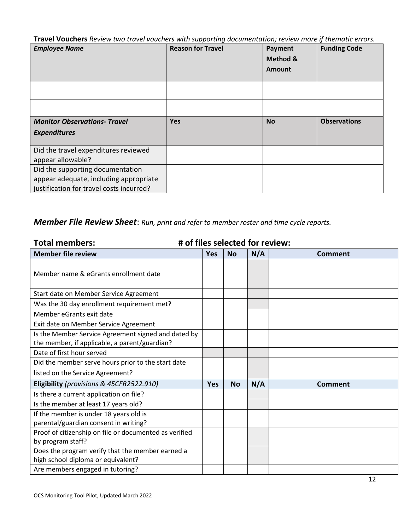**Travel Vouchers** *Review two travel vouchers with supporting documentation; review more if thematic errors.*

|                                                                                                                        | . .                      |                               |                     |
|------------------------------------------------------------------------------------------------------------------------|--------------------------|-------------------------------|---------------------|
| <b>Employee Name</b>                                                                                                   | <b>Reason for Travel</b> | Payment<br>Method &<br>Amount | <b>Funding Code</b> |
|                                                                                                                        |                          |                               |                     |
|                                                                                                                        |                          |                               |                     |
| <b>Monitor Observations- Travel</b><br><b>Expenditures</b>                                                             | <b>Yes</b>               | <b>No</b>                     | <b>Observations</b> |
| Did the travel expenditures reviewed<br>appear allowable?                                                              |                          |                               |                     |
| Did the supporting documentation<br>appear adequate, including appropriate<br>justification for travel costs incurred? |                          |                               |                     |

# *Member File Review Sheet*: *Run, print and refer to member roster and time cycle reports.*

| <b>Total members:</b>                                  |            |           | # of files selected for review: |                |
|--------------------------------------------------------|------------|-----------|---------------------------------|----------------|
| <b>Member file review</b>                              | <b>Yes</b> | <b>No</b> | N/A                             | <b>Comment</b> |
| Member name & eGrants enrollment date                  |            |           |                                 |                |
| Start date on Member Service Agreement                 |            |           |                                 |                |
| Was the 30 day enrollment requirement met?             |            |           |                                 |                |
| Member eGrants exit date                               |            |           |                                 |                |
| Exit date on Member Service Agreement                  |            |           |                                 |                |
| Is the Member Service Agreement signed and dated by    |            |           |                                 |                |
| the member, if applicable, a parent/guardian?          |            |           |                                 |                |
| Date of first hour served                              |            |           |                                 |                |
| Did the member serve hours prior to the start date     |            |           |                                 |                |
| listed on the Service Agreement?                       |            |           |                                 |                |
| Eligibility (provisions & 45CFR2522.910)               | <b>Yes</b> | <b>No</b> | N/A                             | Comment        |
| Is there a current application on file?                |            |           |                                 |                |
| Is the member at least 17 years old?                   |            |           |                                 |                |
| If the member is under 18 years old is                 |            |           |                                 |                |
| parental/guardian consent in writing?                  |            |           |                                 |                |
| Proof of citizenship on file or documented as verified |            |           |                                 |                |
| by program staff?                                      |            |           |                                 |                |
| Does the program verify that the member earned a       |            |           |                                 |                |
| high school diploma or equivalent?                     |            |           |                                 |                |
| Are members engaged in tutoring?                       |            |           |                                 |                |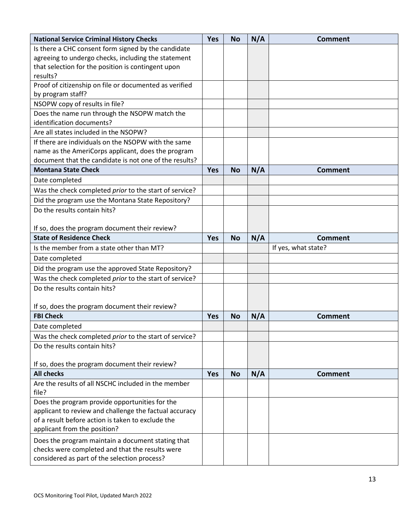| <b>National Service Criminal History Checks</b>              | <b>Yes</b> | <b>No</b> | N/A | <b>Comment</b>      |
|--------------------------------------------------------------|------------|-----------|-----|---------------------|
| Is there a CHC consent form signed by the candidate          |            |           |     |                     |
| agreeing to undergo checks, including the statement          |            |           |     |                     |
| that selection for the position is contingent upon           |            |           |     |                     |
| results?                                                     |            |           |     |                     |
| Proof of citizenship on file or documented as verified       |            |           |     |                     |
| by program staff?                                            |            |           |     |                     |
| NSOPW copy of results in file?                               |            |           |     |                     |
| Does the name run through the NSOPW match the                |            |           |     |                     |
| identification documents?                                    |            |           |     |                     |
| Are all states included in the NSOPW?                        |            |           |     |                     |
| If there are individuals on the NSOPW with the same          |            |           |     |                     |
| name as the AmeriCorps applicant, does the program           |            |           |     |                     |
| document that the candidate is not one of the results?       |            |           |     |                     |
| <b>Montana State Check</b>                                   | <b>Yes</b> | <b>No</b> | N/A | <b>Comment</b>      |
| Date completed                                               |            |           |     |                     |
| Was the check completed prior to the start of service?       |            |           |     |                     |
| Did the program use the Montana State Repository?            |            |           |     |                     |
| Do the results contain hits?                                 |            |           |     |                     |
|                                                              |            |           |     |                     |
| If so, does the program document their review?               |            |           |     |                     |
| <b>State of Residence Check</b>                              | <b>Yes</b> | <b>No</b> | N/A | <b>Comment</b>      |
| Is the member from a state other than MT?                    |            |           |     | If yes, what state? |
| Date completed                                               |            |           |     |                     |
| Did the program use the approved State Repository?           |            |           |     |                     |
| Was the check completed prior to the start of service?       |            |           |     |                     |
| Do the results contain hits?                                 |            |           |     |                     |
|                                                              |            |           |     |                     |
| If so, does the program document their review?               |            |           |     |                     |
| <b>FBI Check</b>                                             | <b>Yes</b> | <b>No</b> | N/A | <b>Comment</b>      |
| Date completed                                               |            |           |     |                     |
| Was the check completed prior to the start of service?       |            |           |     |                     |
| Do the results contain hits?                                 |            |           |     |                     |
|                                                              |            |           |     |                     |
| If so, does the program document their review?               |            |           |     |                     |
| <b>All checks</b>                                            | <b>Yes</b> | <b>No</b> | N/A | <b>Comment</b>      |
| Are the results of all NSCHC included in the member<br>file? |            |           |     |                     |
| Does the program provide opportunities for the               |            |           |     |                     |
| applicant to review and challenge the factual accuracy       |            |           |     |                     |
| of a result before action is taken to exclude the            |            |           |     |                     |
| applicant from the position?                                 |            |           |     |                     |
| Does the program maintain a document stating that            |            |           |     |                     |
| checks were completed and that the results were              |            |           |     |                     |
| considered as part of the selection process?                 |            |           |     |                     |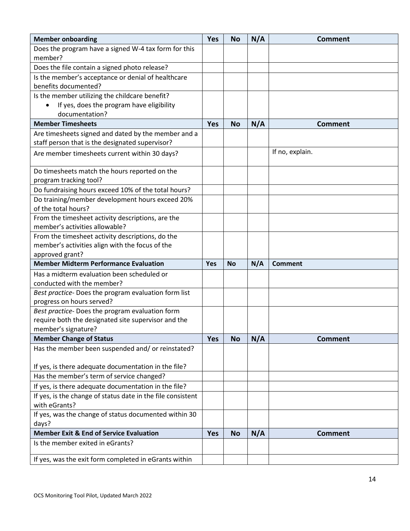| <b>Member onboarding</b>                                                          | <b>Yes</b> | <b>No</b> | N/A | <b>Comment</b>  |
|-----------------------------------------------------------------------------------|------------|-----------|-----|-----------------|
| Does the program have a signed W-4 tax form for this                              |            |           |     |                 |
| member?                                                                           |            |           |     |                 |
| Does the file contain a signed photo release?                                     |            |           |     |                 |
| Is the member's acceptance or denial of healthcare                                |            |           |     |                 |
| benefits documented?                                                              |            |           |     |                 |
| Is the member utilizing the childcare benefit?                                    |            |           |     |                 |
| If yes, does the program have eligibility<br>$\bullet$                            |            |           |     |                 |
| documentation?                                                                    |            |           |     |                 |
| <b>Member Timesheets</b>                                                          | <b>Yes</b> | <b>No</b> | N/A | <b>Comment</b>  |
| Are timesheets signed and dated by the member and a                               |            |           |     |                 |
| staff person that is the designated supervisor?                                   |            |           |     |                 |
| Are member timesheets current within 30 days?                                     |            |           |     | If no, explain. |
| Do timesheets match the hours reported on the                                     |            |           |     |                 |
| program tracking tool?                                                            |            |           |     |                 |
| Do fundraising hours exceed 10% of the total hours?                               |            |           |     |                 |
| Do training/member development hours exceed 20%<br>of the total hours?            |            |           |     |                 |
| From the timesheet activity descriptions, are the                                 |            |           |     |                 |
| member's activities allowable?                                                    |            |           |     |                 |
| From the timesheet activity descriptions, do the                                  |            |           |     |                 |
| member's activities align with the focus of the                                   |            |           |     |                 |
| approved grant?                                                                   |            |           |     |                 |
| <b>Member Midterm Performance Evaluation</b>                                      | <b>Yes</b> | <b>No</b> | N/A | Comment         |
| Has a midterm evaluation been scheduled or                                        |            |           |     |                 |
| conducted with the member?                                                        |            |           |     |                 |
| Best practice- Does the program evaluation form list<br>progress on hours served? |            |           |     |                 |
| Best practice- Does the program evaluation form                                   |            |           |     |                 |
| require both the designated site supervisor and the                               |            |           |     |                 |
| member's signature?                                                               |            |           |     |                 |
| <b>Member Change of Status</b>                                                    | <b>Yes</b> | <b>No</b> | N/A | <b>Comment</b>  |
| Has the member been suspended and/ or reinstated?                                 |            |           |     |                 |
|                                                                                   |            |           |     |                 |
| If yes, is there adequate documentation in the file?                              |            |           |     |                 |
| Has the member's term of service changed?                                         |            |           |     |                 |
| If yes, is there adequate documentation in the file?                              |            |           |     |                 |
| If yes, is the change of status date in the file consistent                       |            |           |     |                 |
| with eGrants?                                                                     |            |           |     |                 |
| If yes, was the change of status documented within 30                             |            |           |     |                 |
| days?                                                                             |            |           |     |                 |
| <b>Member Exit &amp; End of Service Evaluation</b>                                | Yes        | <b>No</b> | N/A | <b>Comment</b>  |
| Is the member exited in eGrants?                                                  |            |           |     |                 |
| If yes, was the exit form completed in eGrants within                             |            |           |     |                 |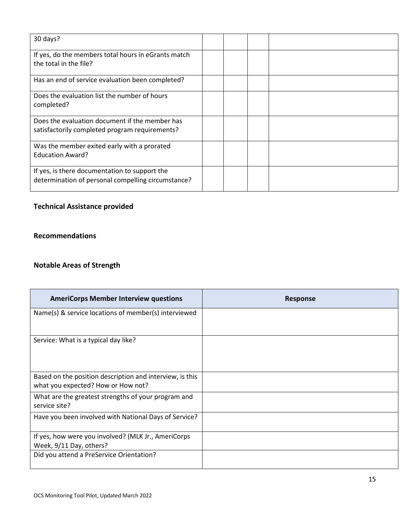| 30 days?                                                                                            |  |  |
|-----------------------------------------------------------------------------------------------------|--|--|
| If yes, do the members total hours in eGrants match<br>the total in the file?                       |  |  |
| Has an end of service evaluation been completed?                                                    |  |  |
| Does the evaluation list the number of hours<br>completed?                                          |  |  |
| Does the evaluation document if the member has<br>satisfactorily completed program requirements?    |  |  |
| Was the member exited early with a prorated<br><b>Education Award?</b>                              |  |  |
| If yes, is there documentation to support the<br>determination of personal compelling circumstance? |  |  |

# **Technical Assistance provided**

#### **Recommendations**

### **Notable Areas of Strength**

| <b>AmeriCorps Member Interview questions</b>                                                   | <b>Response</b> |
|------------------------------------------------------------------------------------------------|-----------------|
| Name(s) & service locations of member(s) interviewed                                           |                 |
| Service: What is a typical day like?                                                           |                 |
| Based on the position description and interview, is this<br>what you expected? How or How not? |                 |
| What are the greatest strengths of your program and<br>service site?                           |                 |
| Have you been involved with National Days of Service?                                          |                 |
| If yes, how were you involved? (MLK Jr., AmeriCorps<br>Week, 9/11 Day, others?                 |                 |
| Did you attend a PreService Orientation?                                                       |                 |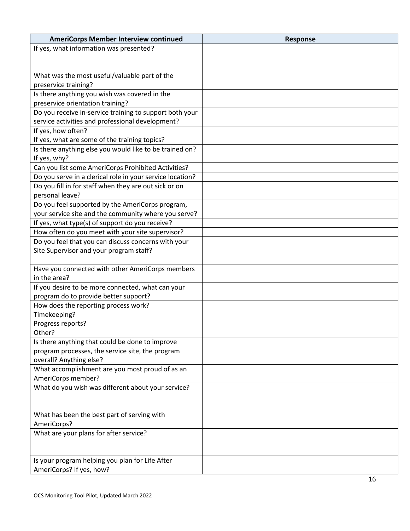| <b>AmeriCorps Member Interview continued</b>              | <b>Response</b> |
|-----------------------------------------------------------|-----------------|
| If yes, what information was presented?                   |                 |
|                                                           |                 |
|                                                           |                 |
| What was the most useful/valuable part of the             |                 |
| preservice training?                                      |                 |
| Is there anything you wish was covered in the             |                 |
| preservice orientation training?                          |                 |
| Do you receive in-service training to support both your   |                 |
| service activities and professional development?          |                 |
| If yes, how often?                                        |                 |
| If yes, what are some of the training topics?             |                 |
| Is there anything else you would like to be trained on?   |                 |
| If yes, why?                                              |                 |
| Can you list some AmeriCorps Prohibited Activities?       |                 |
| Do you serve in a clerical role in your service location? |                 |
| Do you fill in for staff when they are out sick or on     |                 |
| personal leave?                                           |                 |
| Do you feel supported by the AmeriCorps program,          |                 |
| your service site and the community where you serve?      |                 |
| If yes, what type(s) of support do you receive?           |                 |
| How often do you meet with your site supervisor?          |                 |
| Do you feel that you can discuss concerns with your       |                 |
| Site Supervisor and your program staff?                   |                 |
|                                                           |                 |
| Have you connected with other AmeriCorps members          |                 |
| in the area?                                              |                 |
| If you desire to be more connected, what can your         |                 |
| program do to provide better support?                     |                 |
| How does the reporting process work?                      |                 |
| Timekeeping?                                              |                 |
| Progress reports?                                         |                 |
| Other?                                                    |                 |
| Is there anything that could be done to improve           |                 |
| program processes, the service site, the program          |                 |
| overall? Anything else?                                   |                 |
| What accomplishment are you most proud of as an           |                 |
| AmeriCorps member?                                        |                 |
| What do you wish was different about your service?        |                 |
|                                                           |                 |
|                                                           |                 |
| What has been the best part of serving with               |                 |
| AmeriCorps?                                               |                 |
| What are your plans for after service?                    |                 |
|                                                           |                 |
|                                                           |                 |
| Is your program helping you plan for Life After           |                 |
| AmeriCorps? If yes, how?                                  |                 |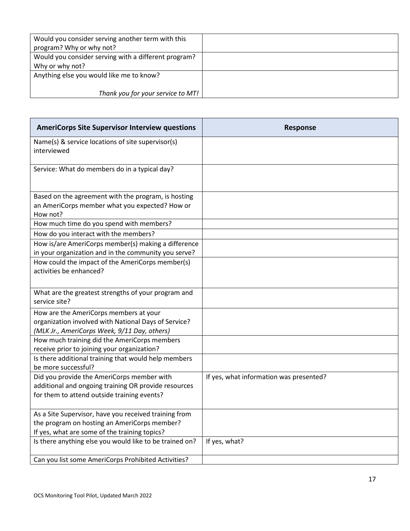| Would you consider serving another term with this<br>program? Why or why not? |  |
|-------------------------------------------------------------------------------|--|
| Would you consider serving with a different program?                          |  |
| Why or why not?                                                               |  |
| Anything else you would like me to know?                                      |  |
|                                                                               |  |
| Thank you for your service to MT!                                             |  |

| <b>AmeriCorps Site Supervisor Interview questions</b>                                                                                                  | <b>Response</b>                         |
|--------------------------------------------------------------------------------------------------------------------------------------------------------|-----------------------------------------|
| Name(s) & service locations of site supervisor(s)<br>interviewed                                                                                       |                                         |
| Service: What do members do in a typical day?                                                                                                          |                                         |
| Based on the agreement with the program, is hosting<br>an AmeriCorps member what you expected? How or<br>How not?                                      |                                         |
| How much time do you spend with members?                                                                                                               |                                         |
| How do you interact with the members?                                                                                                                  |                                         |
| How is/are AmeriCorps member(s) making a difference<br>in your organization and in the community you serve?                                            |                                         |
| How could the impact of the AmeriCorps member(s)<br>activities be enhanced?                                                                            |                                         |
| What are the greatest strengths of your program and<br>service site?                                                                                   |                                         |
| How are the AmeriCorps members at your<br>organization involved with National Days of Service?<br>(MLK Jr., AmeriCorps Week, 9/11 Day, others)         |                                         |
| How much training did the AmeriCorps members<br>receive prior to joining your organization?                                                            |                                         |
| Is there additional training that would help members<br>be more successful?                                                                            |                                         |
| Did you provide the AmeriCorps member with<br>additional and ongoing training OR provide resources<br>for them to attend outside training events?      | If yes, what information was presented? |
| As a Site Supervisor, have you received training from<br>the program on hosting an AmeriCorps member?<br>If yes, what are some of the training topics? |                                         |
| Is there anything else you would like to be trained on?                                                                                                | If yes, what?                           |
| Can you list some AmeriCorps Prohibited Activities?                                                                                                    |                                         |